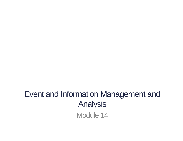# Event and Information Management and Analysis Module 14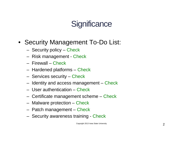#### • Security Management To-Do List:

- Security policy Check
- Risk management Check
- Firewall Check
- Hardened platforms Check
- Services security Check
- Identity and access management Check
- User authentication Check
- Certificate management scheme Check
- Malware protection Check
- Patch management Check
- Security awareness training Check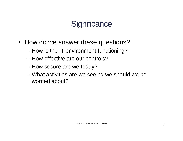- How do we answer these questions?
	- How is the IT environment functioning?
	- How effective are our controls?
	- How secure are we today?
	- What activities are we seeing we should we be worried about?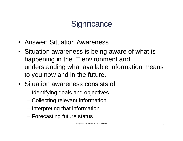- Answer: Situation Awareness
- Situation awareness is being aware of what is happening in the IT environment and understanding what available information means to you now and in the future.
- Situation awareness consists of:
	- Identifying goals and objectives
	- Collecting relevant information
	- Interpreting that information
	- Forecasting future status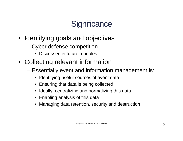- Identifying goals and objectives
	- Cyber defense competition
		- Discussed in future modules
- Collecting relevant information
	- Essentially event and information management is:
		- Identifying useful sources of event data
		- Ensuring that data is being collected
		- Ideally, centralizing and normalizing this data
		- Enabling analysis of this data
		- Managing data retention, security and destruction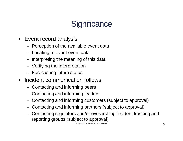- Event record analysis
	- Perception of the available event data
	- Locating relevant event data
	- Interpreting the meaning of this data
	- Verifying the interpretation
	- Forecasting future status
- Incident communication follows
	- Contacting and informing peers
	- Contacting and informing leaders
	- Contacting and informing customers (subject to approval)
	- Contacting and informing partners (subject to approval)
	- Contacting regulators and/or overarching incident tracking and reporting groups (subject to approval)

Copyright 2013 Iowa State University  $6 \left($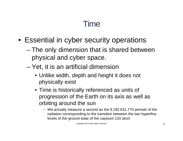- Essential in cyber security operations
	- The only dimension that is shared between physical and cyber space.
	- Yet, it is an artificial dimension
		- Unlike width, depth and height it does not physically exist
		- Time is historically referenced as units of progression of the Earth on its axis as well as orbiting around the sun
			- We actually measure a second as the 9,192,631,770 periods of the radiation corresponding to the transition between the two hyperfine levels of the ground state of the caesium 133 atom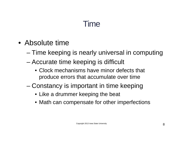- Absolute time
	- Time keeping is nearly universal in computing
	- Accurate time keeping is difficult
		- Clock mechanisms have minor defects that produce errors that accumulate over time
	- Constancy is important in time keeping
		- Like a drummer keeping the beat
		- Math can compensate for other imperfections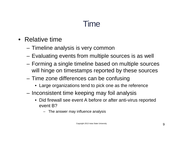- Relative time
	- Timeline analysis is very common
	- Evaluating events from multiple sources is as well
	- Forming a single timeline based on multiple sources will hinge on timestamps reported by these sources
	- Time zone differences can be confusing
		- Large organizations tend to pick one as the reference
	- Inconsistent time keeping may foil analysis
		- Did firewall see event A before or after anti-virus reported event B?
			- The answer may influence analysis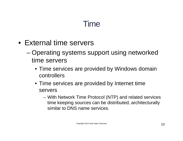- External time servers
	- Operating systems support using networked time servers
		- Time services are provided by Windows domain controllers
		- Time services are provided by Internet time servers
			- With Network Time Protocol (NTP) and related services time keeping sources can be distributed, architecturally similar to DNS name services.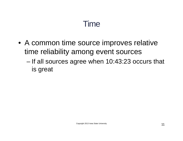- A common time source improves relative time reliability among event sources
	- If all sources agree when 10:43:23 occurs that is great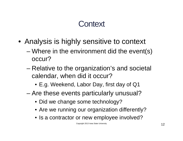### **Context**

- Analysis is highly sensitive to context
	- Where in the environment did the event(s) occur?
	- Relative to the organization's and societal calendar, when did it occur?
		- E.g. Weekend, Labor Day, first day of Q1
	- Are these events particularly unusual?
		- Did we change some technology?
		- Are we running our organization differently?
		- Is a contractor or new employee involved?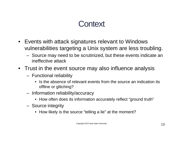### **Context**

- Events with attack signatures relevant to Windows vulnerabilities targeting a Unix system are less troubling.
	- Source may need to be scrutinized, but these events indicate an ineffective attack
- Trust in the event source may also influence analysis
	- Functional reliability
		- Is the absence of relevant events from the source an indication its offline or glitching?
	- Information reliability/accuracy
		- How often does its information accurately reflect "ground truth"
	- Source integrity
		- How likely is the source "telling a lie" at the moment?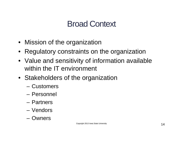### Broad Context

- Mission of the organization
- Regulatory constraints on the organization
- Value and sensitivity of information available within the IT environment
- Stakeholders of the organization
	- Customers
	- Personnel
	- Partners
	- Vendors
	- Owners

Copyright 2013 Iowa State University **14**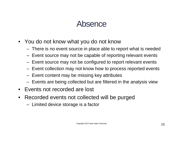#### Absence

- You do not know what you do not know
	- There is no event source in place able to report what is needed
	- Event source may not be capable of reporting relevant events
	- Event source may not be configured to report relevant events
	- Event collection may not know how to process reported events
	- Event content may be missing key attributes
	- Events are being collected but are filtered in the analysis view
- Events not recorded are lost
- Recorded events not collected will be purged
	- Limited device storage is a factor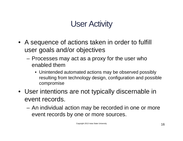### User Activity

- A sequence of actions taken in order to fulfill user goals and/or objectives
	- Processes may act as a proxy for the user who enabled them
		- Unintended automated actions may be observed possibly resulting from technology design, configuration and possible compromise
- User intentions are not typically discernable in event records.
	- An individual action may be recorded in one or more event records by one or more sources.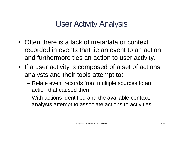#### User Activity Analysis

- Often there is a lack of metadata or context recorded in events that tie an event to an action and furthermore ties an action to user activity.
- If a user activity is composed of a set of actions, analysts and their tools attempt to:
	- Relate event records from multiple sources to an action that caused them
	- With actions identified and the available context, analysts attempt to associate actions to activities.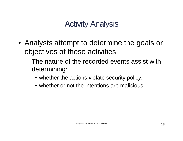### Activity Analysis

- Analysts attempt to determine the goals or objectives of these activities
	- The nature of the recorded events assist with determining:
		- whether the actions violate security policy,
		- whether or not the intentions are malicious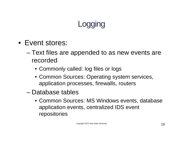- Event stores:
	- Text files are appended to as new events are recorded
		- Commonly called: log files or logs
		- Common Sources: Operating system services, application processes, firewalls, routers
	- Database tables
		- Common Sources: MS Windows events, database application events, centralized IDS event repositories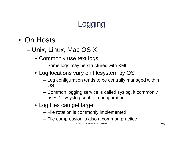- On Hosts
	- Unix, Linux, Mac OS X
		- Commonly use text logs
			- Some logs may be structured with XML
		- Log locations vary on filesystem by OS
			- Log configuration tends to be centrally managed within OS
			- Common logging service is called syslog, it commonly uses /etc/syslog.conf for configuration
		- Log files can get large
			- File rotation is commonly implemented
			- File compression is also a common practice

Copyright 2013 Iowa State University **20**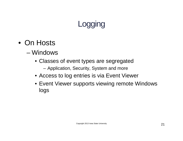- On Hosts
	- Windows
		- Classes of event types are segregated
			- Application, Security, System and more
		- Access to log entries is via Event Viewer
		- Event Viewer supports viewing remote Windows logs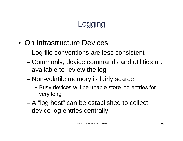- On Infrastructure Devices
	- Log file conventions are less consistent
	- Commonly, device commands and utilities are available to review the log
	- Non-volatile memory is fairly scarce
		- Busy devices will be unable store log entries for very long
	- A "log host" can be established to collect device log entries centrally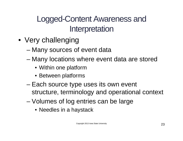### Logged-Content Awareness and Interpretation

- Very challenging
	- Many sources of event data
	- Many locations where event data are stored
		- Within one platform
		- Between platforms
	- Each source type uses its own event structure, terminology and operational context
	- Volumes of log entries can be large
		- Needles in a haystack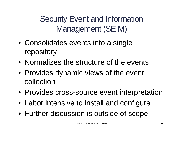Security Event and Information Management (SEIM)

- Consolidates events into a single repository
- Normalizes the structure of the events
- Provides dynamic views of the event collection
- Provides cross-source event interpretation
- Labor intensive to install and configure
- Further discussion is outside of scope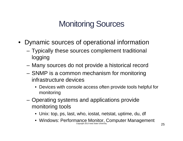### Monitoring Sources

- Dynamic sources of operational information
	- Typically these sources complement traditional logging
	- Many sources do not provide a historical record
	- SNMP is a common mechanism for monitoring infrastructure devices
		- Devices with console access often provide tools helpful for monitoring
	- Operating systems and applications provide monitoring tools
		- Unix: top, ps, last, who, iostat, netstat, uptime, du, df
		- Windows: Performance Monitor, Computer Management Copyright 2013 Iowa State University **25**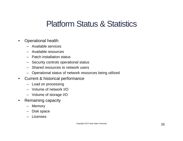#### Platform Status & Statistics

- Operational health
	- Available services
	- Available resources
	- Patch installation status
	- Security controls operational status
	- Shared resources to network users
	- Operational status of network resources being utilized
- Current & historical performance
	- Load on processing
	- Volume of network I/O
	- Volume of storage I/O
- Remaining capacity
	- Memory
	- Disk space
	- Licenses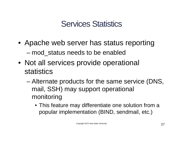#### Services Statistics

- Apache web server has status reporting – mod\_status needs to be enabled
- Not all services provide operational statistics
	- Alternate products for the same service (DNS, mail, SSH) may support operational monitoring
		- This feature may differentiate one solution from a popular implementation (BIND, sendmail, etc.)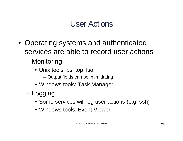#### User Actions

- Operating systems and authenticated services are able to record user actions
	- Monitoring
		- Unix tools: ps, top, lsof
			- Output fields can be intimidating
		- Windows tools: Task Manager
	- Logging
		- Some services will log user actions (e.g. ssh)
		- Windows tools: Event Viewer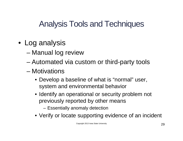- Log analysis
	- Manual log review
	- Automated via custom or third-party tools
	- Motivations
		- Develop a baseline of what is "normal" user, system and environmental behavior
		- Identify an operational or security problem not previously reported by other means
			- Essentially anomaly detection
		- Verify or locate supporting evidence of an incident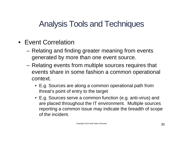- Event Correlation
	- Relating and finding greater meaning from events generated by more than one event source.
	- Relating events from multiple sources requires that events share in some fashion a common operational context.
		- E.g. Sources are along a common operational path from threat's point of entry to the target
		- E.g. Sources serve a common function (e.g. anti-virus) and are placed throughout the IT environment. Multiple sources reporting a common issue may indicate the breadth of scope of the incident.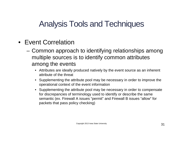- Event Correlation
	- Common approach to identifying relationships among multiple sources is to identify common attributes among the events
		- Attributes are ideally produced natively by the event source as an inherent attribute of the threat
		- Supplementing the attribute pool may be necessary in order to improve the operational context of the event information
		- Supplementing the attribute pool may be necessary in order to compensate for discrepancies of terminology used to identify or describe the same semantic (ex. Firewall A issues "permit" and Firewall B issues "allow" for packets that pass policy checking)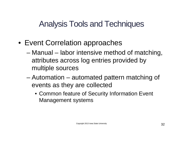- Event Correlation approaches
	- Manual labor intensive method of matching, attributes across log entries provided by multiple sources
	- Automation automated pattern matching of events as they are collected
		- Common feature of Security Information Event Management systems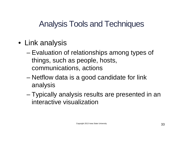- Link analysis
	- Evaluation of relationships among types of things, such as people, hosts, communications, actions
	- Netflow data is a good candidate for link analysis
	- Typically analysis results are presented in an interactive visualization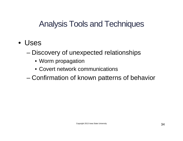- Uses
	- Discovery of unexpected relationships
		- Worm propagation
		- Covert network communications
	- Confirmation of known patterns of behavior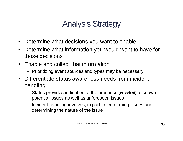### Analysis Strategy

- Determine what decisions you want to enable
- Determine what information you would want to have for those decisions
- Enable and collect that information
	- Prioritizing event sources and types may be necessary
- Differentiate status awareness needs from incident handling
	- Status provides indication of the presence (or lack of) of known potential issues as well as unforeseen issues
	- Incident handling involves, in part, of confirming issues and determining the nature of the issue